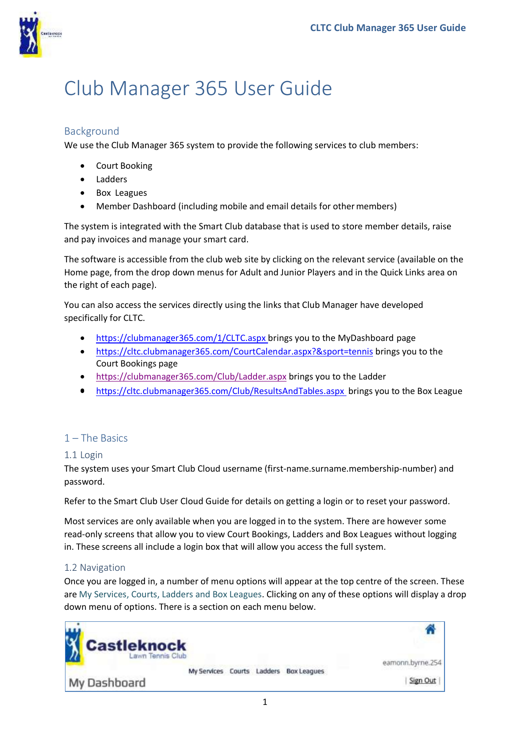

# Club Manager 365 User Guide

# Background

We use the Club Manager 365 system to provide the following services to club members:

- Court Booking
- Ladders
- Box Leagues
- Member Dashboard (including mobile and email details for other members)

The system is integrated with the Smart Club database that is used to store member details, raise and pay invoices and manage your smart card.

The software is accessible from the club web site by clicking on the relevant service (available on the Home page, from the drop down menus for Adult and Junior Players and in the Quick Links area on the right of each page).

You can also access the services directly using the links that Club Manager have developed specifically for CLTC.

- [https://clubmanager365.com/1/CLTC.aspx brings](https://clubmanager365.com/1/CLTC.aspx) you to the MyDashboard page
- <https://cltc.clubmanager365.com/CourtCalendar.aspx?&sport=tennis> brings you to the Court Bookings page
- <https://clubmanager365.com/Club/Ladder.aspx> brings you to the Ladder
- https://cltc.clubmanager365.com/Club/ResultsAndTables.aspx brings you to the Box League

# 1 – The Basics

#### $1.1$  Login

The system uses your Smart Club Cloud username (first-name.surname.membership-number) and password.

Refer to the Smart Club User Cloud Guide for details on getting a login or to reset your password.

Most services are only available when you are logged in to the system. There are however some read-only screens that allow you to view Court Bookings, Ladders and Box Leagues without logging in. These screens all include a login box that will allow you access the full system.

#### 1.2 Navigation

Once you are logged in, a number of menu options will appear at the top centre of the screen. These are My Services, Courts, Ladders and Box Leagues. Clicking on any of these options will display a drop down menu of options. There is a section on each menu below.

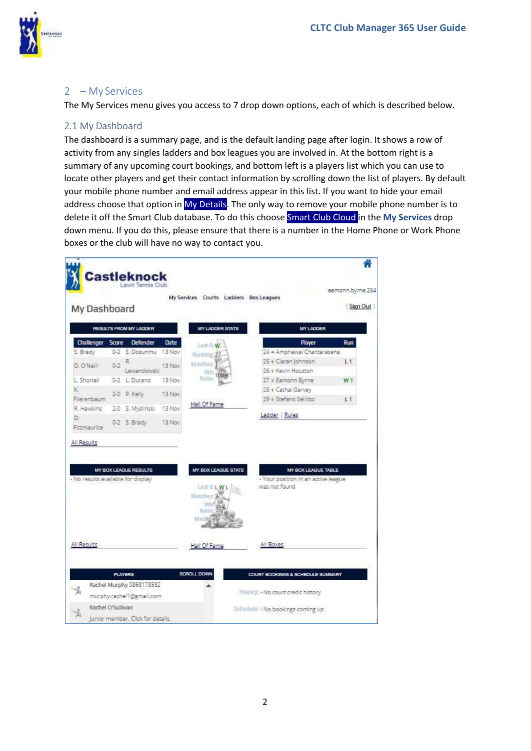

#### 2 – My Services

The My Services menu gives you access to 7 drop down options, each of which is described below.

#### 2.1 My Dashboard

The dashboard is a summary page, and is the default landing page after login. It shows a row of activity from any singles ladders and box leagues you are involved in. At the bottom right is a summary of any upcoming court bookings, and bottom left is a players list which you can use to locate other players and get their contact information by scrolling down the list of players. By default your mobile phone number and email address appear in this list. If you want to hide your email address choose that option in [My Details.](#page-2-0) The only way to remove your mobile phone number is to delete it off the Smart Club database. To do this choos[e Smart Club Cloud i](#page-2-1)n the **My Services** drop down menu. If you do this, please ensure that there is a number in the Home Phone or Work Phone boxes or the club will have no way to contact you.

|                                                   |              | <b>Castleknock</b><br>Lawn Tennis Club               |        | My Services Courts Ladders Box Leagues         |                                              |                                                            | eamonn.byrne.254 |
|---------------------------------------------------|--------------|------------------------------------------------------|--------|------------------------------------------------|----------------------------------------------|------------------------------------------------------------|------------------|
| My Dashboard                                      |              |                                                      |        |                                                |                                              |                                                            | Sign Out         |
|                                                   |              | RESULTS FROM MY LADDER                               |        | <b>MY LADDER STATS</b>                         |                                              | <b>MY LADDER</b>                                           |                  |
| Challenger                                        | <b>Scare</b> | <b>Defender</b>                                      | Date   | Last 6:W                                       |                                              | Player                                                     | Run              |
| S. Brady                                          |              | 0-2 S. Dosunmu 13 Nov                                |        | Ranidne: 27                                    |                                              | 24 + Amphawal Chantarasena                                 |                  |
| D. O'Neill                                        | $0 - 2$      | R.                                                   | 13 Nov | Matches:                                       | 25 · Ciaran Johnson                          |                                                            | L1               |
| L'Shortall                                        |              | Lewandowski<br>0-2 E Durand                          | 13 Nov | Wirt 100                                       | 26 + Kevin Houston                           |                                                            |                  |
| 紀                                                 |              |                                                      |        |                                                | 27 v Eamonn Byrne<br>28 v Cathai Garvey      |                                                            | W <sub>1</sub>   |
| Flierenbaum                                       |              | 2-0 P. Kelly                                         | 13 Nov |                                                | 29 v Stefano Sellitto                        |                                                            | L1               |
| R. Hawkins                                        | $2 - 0$      | S. Myslinski                                         | 13 Nov | Hall Of Fame                                   |                                              |                                                            |                  |
| D.<br>Fitzmaurice                                 |              | 0-2 S. Brady                                         | 13 Nov |                                                | Ladder   Rules                               |                                                            |                  |
|                                                   |              |                                                      |        |                                                |                                              |                                                            |                  |
|                                                   |              | <b>MY BOX LEAGUE RESULTS</b>                         |        | MY BOX LEAGUE STATS<br>Last GLWL<br>Matches: 3 | was not found                                | MY BOX LEAGUE TABLE<br>- Your position in an active league |                  |
|                                                   |              |                                                      |        | Ratio<br>Mechel<br>Hall Of Fame                | All Boxes                                    |                                                            |                  |
|                                                   |              | <b>PLAYERS</b>                                       |        | SCROLL DOWN                                    | <b>COURT BOOKINGS &amp; SCHEDULE SUMMARY</b> |                                                            |                  |
| - No results available for display<br>All Results |              | Rachel Murphy 0868178582<br>murphy.rachel1@gmail.com |        |                                                | History: - No court credit history           |                                                            |                  |
| Rachel O'Sullivan                                 |              |                                                      |        |                                                | Schedule: - No bookings coming up            |                                                            |                  |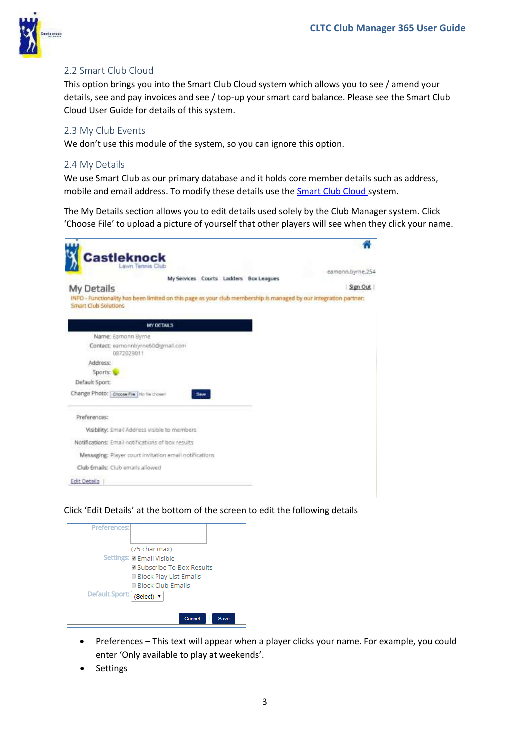<span id="page-2-1"></span>

# 2.2 Smart Club Cloud

This option brings you into the Smart Club Cloud system which allows you to see / amend your details, see and pay invoices and see / top-up your smart card balance. Please see the Smart Club Cloud User Guide for details of this system.

#### 2.3 My Club Events

We don't use this module of the system, so you can ignore this option.

#### <span id="page-2-0"></span>2.4 My Details

We use Smart Club as our primary database and it holds core member details such as address, mobile and email address. To modify these details use the [Smart Club Cloud s](#page-2-1)ystem.

The My Details section allows you to edit details used solely by the Club Manager system. Click 'Choose File' to upload a picture of yourself that other players will see when they click your name.

| <b>Castleknock</b>                                                                                                                               |                  |
|--------------------------------------------------------------------------------------------------------------------------------------------------|------------------|
| Lawn Tennis Club                                                                                                                                 | eamonn.byrne.254 |
| My Services Courts Ladders Box Leagues                                                                                                           |                  |
| My Details                                                                                                                                       | Sign Out         |
| INFO - Functionality has been limited on this page as your club membership is managed by our integration partner:<br><b>Smart Club Solutions</b> |                  |
| <b>MY DETAILS</b>                                                                                                                                |                  |
| Name: Earnonn Byrne                                                                                                                              |                  |
| Contact: earnonnbyrne60@gmail.com<br>0872029011                                                                                                  |                  |
| Address:                                                                                                                                         |                  |
| Sports:                                                                                                                                          |                  |
| Default Sport:                                                                                                                                   |                  |
| Change Photo: Choose File Tip file chosen<br>Save                                                                                                |                  |
| Preferences:                                                                                                                                     |                  |
| Visibility: Email Address visible to members                                                                                                     |                  |
| Notifications: Email notifications of box results                                                                                                |                  |
| Messaging: Player court invitation email notifications                                                                                           |                  |
| Club Emails: Club emails allowed                                                                                                                 |                  |
| <b>Edit Details</b>                                                                                                                              |                  |

Click 'Edit Details' at the bottom of the screen to edit the following details



- Preferences This text will appear when a player clicks your name. For example, you could enter 'Only available to play at weekends'.
- **Settings**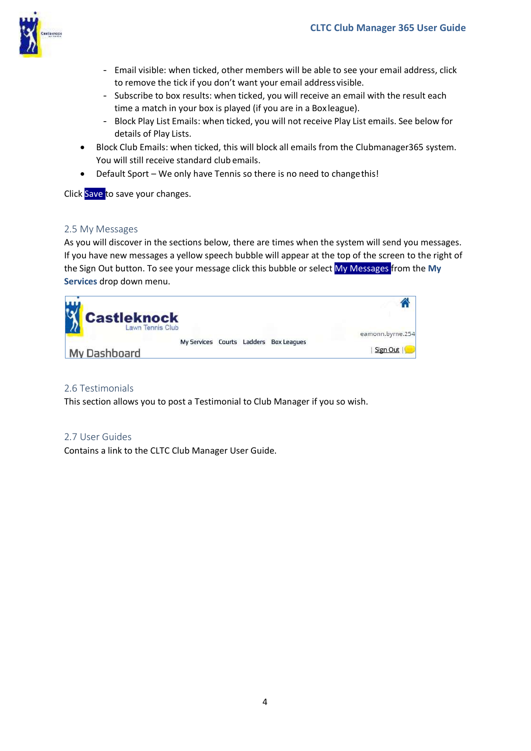

- Email visible: when ticked, other members will be able to see your email address, click to remove the tick if you don't want your email address visible.
- Subscribe to box results: when ticked, you will receive an email with the result each time a match in your box is played (if you are in a Box league).
- Block Play List Emails: when ticked, you will not receive Play List emails. See below for details of Play Lists.
- Block Club Emails: when ticked, this will block all emails from the Clubmanager365 system. You will still receive standard club emails.
- Default Sport We only have Tennis so there is no need to changethis!

Click Save to save your changes.

#### 2.5 My Messages

As you will discover in the sections below, there are times when the system will send you messages. If you have new messages a yellow speech bubble will appear at the top of the screen to the right of the Sign Out button. To see your message click this bubble or select My Messages from the **My Services** drop down menu.



#### 2.6 Testimonials

This section allows you to post a Testimonial to Club Manager if you so wish.

#### 2.7 User Guides

Contains a link to the CLTC Club Manager User Guide.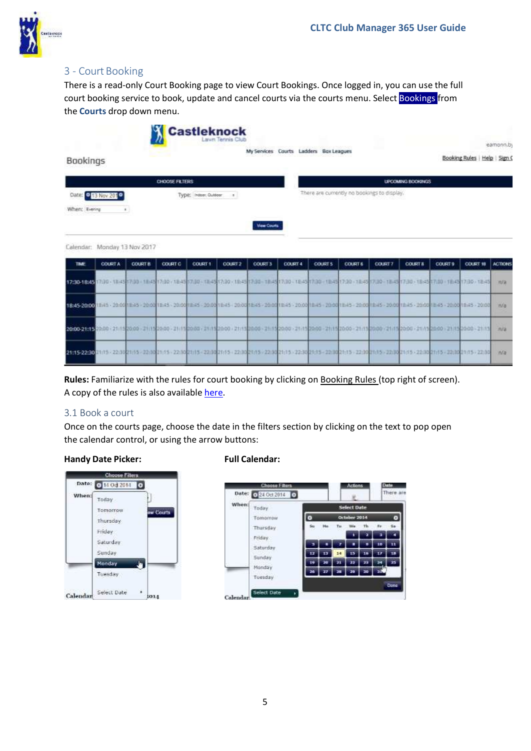

# 3 - Court Booking

There is a read-only Court Booking page to view Court Bookings. Once logged in, you can use the full court booking service to book, update and cancel courts via the courts menu. Select Bookings from the **Courts** drop down menu.

|                                      | <b>Castleknock</b>    |                   |                                             | eamonn.by                     |
|--------------------------------------|-----------------------|-------------------|---------------------------------------------|-------------------------------|
| Bookings                             |                       |                   | My Services Courts Ladders Box Leagues      | Booking Rules   Help   Sign C |
|                                      | <b>CHOOSE FILTERS</b> |                   | <b>UPCOMING BOOKINGS</b>                    |                               |
| Date: 0 13 Nov 2010<br>When: Evening | Type: Indoor, Outdoor |                   | There are currently no bookings to display. |                               |
|                                      |                       | <b>Mew Courts</b> |                                             |                               |
| Calendar: Monday 13 Nov 2017         |                       |                   |                                             |                               |

| TIME          | <b>COURT A</b> | <b>COURT B.</b> | COURT C | COURT 1 | <b>COURT 2</b> | <b>COURT 3</b> | <b>COURT 4</b> | <b>COURTS</b> | <b>COURT 6</b> | <b>COURT7</b> | <b>COURT 8</b> | <b>COURT 9</b> | <b>COURT 10</b>                                                                                                                                                                                                               | ACTIONS   |
|---------------|----------------|-----------------|---------|---------|----------------|----------------|----------------|---------------|----------------|---------------|----------------|----------------|-------------------------------------------------------------------------------------------------------------------------------------------------------------------------------------------------------------------------------|-----------|
|               |                |                 |         |         |                |                |                |               |                |               |                |                | 17:30-18:45 17:30 - 18:45 17:30 - 18:45 17:30 - 18:45 17:30 - 18:45 17:30 - 18:45 17:30 - 18:45 17:30 - 18:45 17:30 - 18:45 17:30 - 18:45 17:30 - 18:45 17:30 - 18:45 17:30 - 18:45 17:30 - 18:45 17:30 - 18:45 17:30 - 18:45 | n/a       |
|               |                |                 |         |         |                |                |                |               |                |               |                |                | 1845-2000 1845 - 2000 1845 - 2000 1845 - 2000 1845 - 2000 1845 - 2000 1845 - 2000 1845 - 2000 1845 - 2000 1845 - 2000 1845 - 2000 1845 - 2000 1845 - 2000 1845 - 2000                                                         | n/s       |
| 20:00-21:15 图 |                |                 |         |         |                |                |                |               |                |               |                |                | 880-21-152000-21-152000-21-152000-21-152000-21-152000-21-152000-21-152000-21-152000-21-152000-21-152000-21-152000-21-152000-21-152000-21-15                                                                                   | nra       |
|               |                |                 |         |         |                |                |                |               |                |               |                |                | 2145-2220101115-223021:15-223021115-223021115-22302115-22302115-22302115-22302115-22302115-22302115-22302115-22302115-22302115-22302115-22302115-22302115-22302115-22302115-                                                  | <b>IN</b> |

**Rules:** Familiarize with the rules for court booking by clicking on Booking Rules (top right of screen). A copy of the rules is also available here.

#### 3.1 Book a court

Once on the courts page, choose the date in the filters section by clicking on the text to pop open the calendar control, or using the arrow buttons:

#### **Handy Date Picker: Full Calendar:**



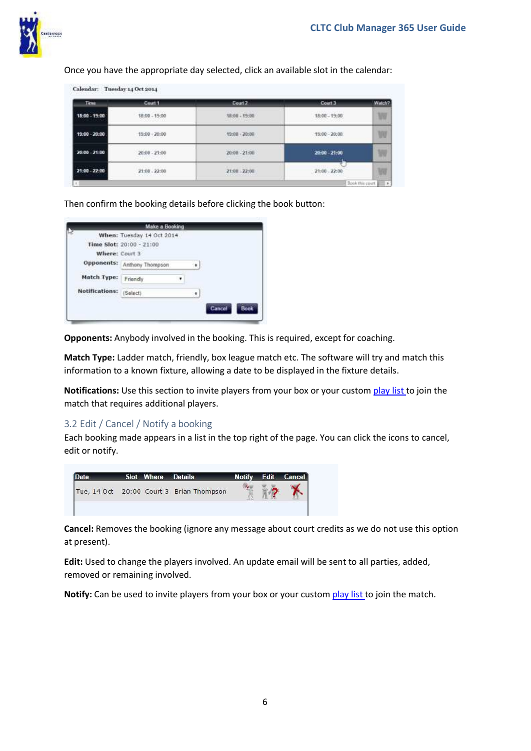

Once you have the appropriate day selected, click an available slot in the calendar:

| <b>Time</b>   | Court 1         | Court 2                                     | Court 3         | Watch? |
|---------------|-----------------|---------------------------------------------|-----------------|--------|
| 18:00 - 19:00 | 18:00 - 19:00   | 38:00 - 19:00<br>THE COMPANY OF THE COMPANY | 18:00 - 19:00   | W      |
| 19:00 - 20:00 | $19:00 - 20:00$ | $19:00 - 20:00$                             | $19:00 - 20:00$ | w      |
| 20:00 - 21:00 | $20:00 - 21:00$ | $20:00 - 21:00$                             | 20:00 - 21:00   | W      |
| 21:00 - 22:00 | $21:00 - 22:00$ | 21:00 22:00                                 | $21:00 - 22:00$ | W      |

Then confirm the booking details before clicking the book button:

|                       | <b>Make a Booking</b>     |   |        |      |
|-----------------------|---------------------------|---|--------|------|
|                       | When: Tuesday 14 Oct 2014 |   |        |      |
|                       | Time Slot: 20:00 - 21:00  |   |        |      |
| Where: Court 3        |                           |   |        |      |
| Opponents:            | Anthony Thompson          | ٠ |        |      |
| Match Type:           | Friendly                  |   |        |      |
| <b>Notifications:</b> | (Select)                  |   |        |      |
|                       |                           |   | Cancel | Book |

**Opponents:** Anybody involved in the booking. This is required, except for coaching.

**Match Type:** Ladder match, friendly, box league match etc. The software will try and match this information to a known fixture, allowing a date to be displayed in the fixture details.

**Notifications:** Use this section to invite players from your box or your custom [play list t](#page-5-0)o join the match that requires additional players.

#### 3.2 Edit / Cancel / Notify a booking

Each booking made appears in a list in the top right of the page. You can click the icons to cancel, edit or notify.



**Cancel:** Removes the booking (ignore any message about court credits as we do not use this option at present).

**Edit:** Used to change the players involved. An update email will be sent to all parties, added, removed or remaining involved.

<span id="page-5-0"></span>**Notify:** Can be used to invite players from your box or your custom [play list t](#page-6-0)o join the match.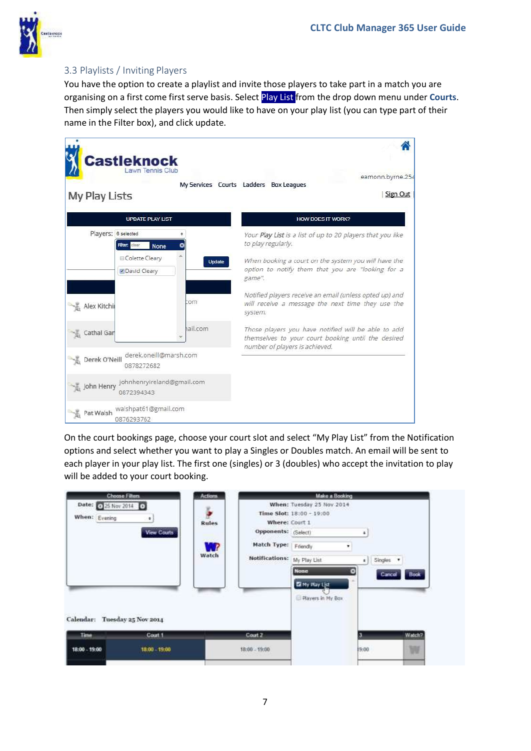<span id="page-6-0"></span>

# 3.3 Playlists / Inviting Players

You have the option to create a playlist and invite those players to take part in a match you are organising on a first come first serve basis. Select Play List from the drop down menu under **Courts**. Then simply select the players you would like to have on your play list (you can type part of their name in the Filter box), and click update.

| My Play Lists       | <b>Castleknock</b>                           |          | eamonn.byrne.254<br>My Services Courts Ladders Box Leagues<br>Sign Out                                                                      |
|---------------------|----------------------------------------------|----------|---------------------------------------------------------------------------------------------------------------------------------------------|
|                     | <b>UPDATE PLAY LIST</b>                      |          | <b>HOW DOES IT WORK?</b>                                                                                                                    |
| Players; 6 selected | Filter: clear<br><b>None</b>                 |          | Your Play List is a list of up to 20 players that you like<br>to play regularly.                                                            |
|                     | Golette Cleary<br>David Cleary               | Uodate   | When booking a court on the system you will have the<br>option to notify them that you are "looking for a<br>game".                         |
| Alex Kitchii        |                                              | :om      | Notified players receive an email (unless opted up) and<br>will receive a message the next time they use the<br>system.                     |
| Cathal Gar          |                                              | hail.com | Those players you have notified will be able to add<br>themselves to your court booking until the desired<br>number of players is achieved. |
| Derek O'Neill       | derek.oneill@marsh.com<br>0878272682         |          |                                                                                                                                             |
| John Henry          | johnhenryireland@gmail.com<br>0872394343     |          |                                                                                                                                             |
|                     | Pat Walsh walshpat61@gmail.com<br>0876293762 |          |                                                                                                                                             |

On the court bookings page, choose your court slot and select "My Play List" from the Notification options and select whether you want to play a Singles or Doubles match. An email will be sent to each player in your play list. The first one (singles) or 3 (doubles) who accept the invitation to play will be added to your court booking.

| <b>Choose Filters</b><br>Date: 025 Nov 2014 0<br>When: Evening | ٠<br>View Courts         | <b>Actions</b><br><b>Rules</b><br>W<br>Watch | Where: Court 1<br>Opponents: (Select)<br>Match Type: Friendy<br><b>Notifications:</b> | Make a Booking<br>When: Tuesday 25 Nov 2014<br>Time Slot: 18:00 - 19:00<br>۰<br>My Play List<br><b>None</b> | ٠<br>¥.<br>o | Singles .<br>Cancel | Book        |
|----------------------------------------------------------------|--------------------------|----------------------------------------------|---------------------------------------------------------------------------------------|-------------------------------------------------------------------------------------------------------------|--------------|---------------------|-------------|
| Calendar: Tuesday 25 Nov 2014<br>Time:<br>18:00 - 19:00        | Court 1<br>18:00 - 19:00 |                                              | Court 2<br>$18:00 - 19:00$                                                            | <b>El</b> My Play List<br>Players in My Box                                                                 | 19:00        |                     | Watch?<br>W |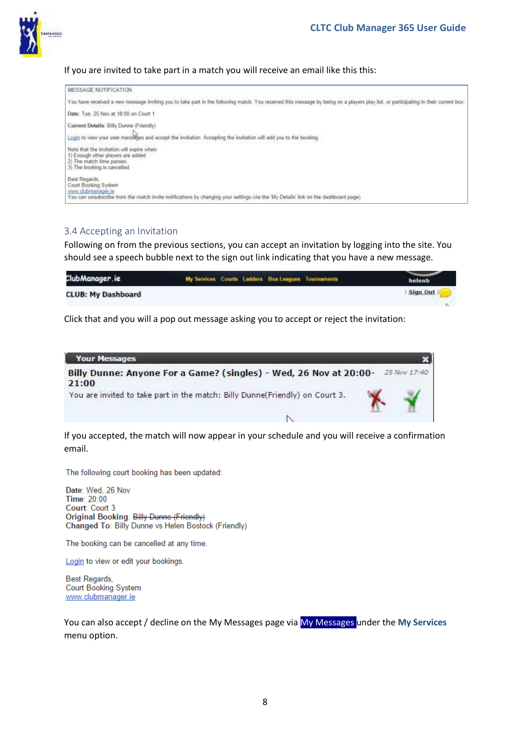#### If you are invited to take part in a match you will receive an email like this this:

| MESSAGE NOTIFICATION                                                                                                                                                                              |  |
|---------------------------------------------------------------------------------------------------------------------------------------------------------------------------------------------------|--|
| You have received a new message inviting you to take part in the following match. You received this message by being on a players play list, or participating in their current box.               |  |
| Date: Tue. 25 Nov at 18:00 on Court 1.                                                                                                                                                            |  |
| Current Details: Billy Dunne (Friendly)<br>Login to view your user messages and accept the invitation. Accepting the invitation will add you to the booking.                                      |  |
| Note that the invitation will expire when<br>1) Enough other players are added<br>2) The match time passes<br>3) The booking is cancelled                                                         |  |
| Best Regards<br>Court Booking System<br>www.dubmanager.le<br>You can unsubscribe from the match invite notifications by changing your settings (via the 'My Details' link on the dashboard page). |  |

#### 3.4 Accepting an Invitation

Following on from the previous sections, you can accept an invitation by logging into the site. You should see a speech bubble next to the sign out link indicating that you have a new message.

| ClubManager.ie            | My Services Courts Ladders Box Leagues Tournaments | helenb   |
|---------------------------|----------------------------------------------------|----------|
| <b>CLUB: My Dashboard</b> |                                                    | Sign Out |
|                           |                                                    |          |

Click that and you will a pop out message asking you to accept or reject the invitation:



If you accepted, the match will now appear in your schedule and you will receive a confirmation email.

The following court booking has been updated:

Date: Wed, 26 Nov Time: 20:00 Court: Court 3 Original Booking: Billy Dunne (Friendly) Changed To: Billy Dunne vs Helen Bostock (Friendly)

The booking can be cancelled at any time.

Login to view or edit your bookings.

Best Regards, **Court Booking System** www.clubmanager.ie

You can also accept / decline on the My Messages page via My Messages under the **My Services** menu option.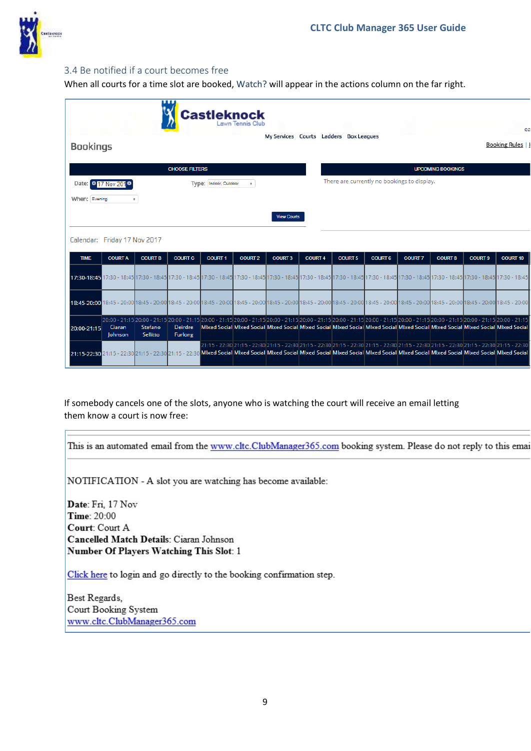

#### 3.4 Be notified if a court becomes free

When all courts for a time slot are booked, Watch? will appear in the actions column on the far right.

|                              |                      |                                                                                                                                                                                                                                 | ш                                | <b>Castleknock</b>    |                |                    |                |                                                                                                                                                   |                |                |                          |                | ea                                                                                                                                                                                                                              |
|------------------------------|----------------------|---------------------------------------------------------------------------------------------------------------------------------------------------------------------------------------------------------------------------------|----------------------------------|-----------------------|----------------|--------------------|----------------|---------------------------------------------------------------------------------------------------------------------------------------------------|----------------|----------------|--------------------------|----------------|---------------------------------------------------------------------------------------------------------------------------------------------------------------------------------------------------------------------------------|
| <b>Bookings</b>              |                      |                                                                                                                                                                                                                                 |                                  |                       |                |                    |                | My Services Courts Ladders Box Leagues                                                                                                            |                |                |                          |                | Booking Rules                                                                                                                                                                                                                   |
|                              |                      |                                                                                                                                                                                                                                 | <b>CHOOSE FILTERS</b>            |                       |                |                    |                |                                                                                                                                                   |                |                | <b>UPCOMING BOOKINGS</b> |                |                                                                                                                                                                                                                                 |
|                              | Date: 0 17 Nov 201 0 |                                                                                                                                                                                                                                 |                                  | Type: Indoor, Outdoor | $\div$         |                    |                | There are currently no bookings to display.                                                                                                       |                |                |                          |                |                                                                                                                                                                                                                                 |
| When: Evening                |                      | ÷                                                                                                                                                                                                                               |                                  |                       |                |                    |                |                                                                                                                                                   |                |                |                          |                |                                                                                                                                                                                                                                 |
|                              |                      |                                                                                                                                                                                                                                 |                                  |                       |                | <b>View Courts</b> |                |                                                                                                                                                   |                |                |                          |                |                                                                                                                                                                                                                                 |
| Calendar: Friday 17 Nov 2017 |                      |                                                                                                                                                                                                                                 |                                  |                       |                |                    |                |                                                                                                                                                   |                |                |                          |                |                                                                                                                                                                                                                                 |
| <b>TIME</b>                  | <b>COURT A</b>       | <b>COURT B</b>                                                                                                                                                                                                                  | <b>COURT C</b>                   | <b>COURT 1</b>        | <b>COURT 2</b> | <b>COURT 3</b>     | <b>COURT 4</b> | <b>COURT 5</b>                                                                                                                                    | <b>COURT 6</b> | <b>COURT 7</b> | <b>COURT 8</b>           | <b>COURT 9</b> | <b>COURT 10</b>                                                                                                                                                                                                                 |
|                              |                      | 17:30 - 18:45 17:30 - 18:45 17:30 - 18:45 17:30 - 18:45 17:30 - 18:45 17:30 - 18:45 17:30 - 18:45 17:30 - 18:45 17:30 - 18:45 17:30 - 18:45 17:30 - 18:45 17:30 - 18:45 17:30 - 18:45 17:30 - 18:45 17:30 - 18:45 17:30 - 18:45 |                                  |                       |                |                    |                |                                                                                                                                                   |                |                |                          |                |                                                                                                                                                                                                                                 |
|                              |                      | 18;45 - 20:00 18:45 - 20:00 18:45 - 20:00 18:45 - 20:00 18:45 - 20:00 18:45 - 20:00 18:45 - 20:00 18:45 - 20:00 18:45 - 20:00 18:45 - 20:00 18:45 - 20:00 18:45 - 20:00 18:45 - 20:00 18:45 - 20:00 18:45 - 20:00 18:45 - 20:00 |                                  |                       |                |                    |                |                                                                                                                                                   |                |                |                          |                |                                                                                                                                                                                                                                 |
| 20:00-21:15                  | Ciaran<br>Johnson    | Stefano<br>Sellitto                                                                                                                                                                                                             | <b>Deirdre</b><br><b>Furlong</b> |                       |                |                    |                | Mixed Social Mixed Social Mixed Social Mixed Social Mixed Social Mixed Social Mixed Social Mixed Social Mixed Social Mixed Social                 |                |                |                          |                | 20:00 - 21:15 20:00 - 21:15 20:00 - 21:15 20:00 - 21:15 20:00 - 21:15 20:00 - 21:15 20:00 - 21:15 20:00 - 21:15 20:00 - 21:15 20:00 - 21:15 20:00 - 21:15 20:00 - 21:15 20:00 - 21:15 20:00 - 21:15 20:00 - 21:15 20:00 - 21:15 |
|                              |                      | 21:15-22:30 21:15 - 22:30 21:15 - 22:30 21:15 - 22:30 Mixed Social Mixed Social Mixed Social Mixed Social Mixed Social Mixed Social Mixed Social Mixed Social Mixed Social Mixed Social Mixed Social Mixed Social               |                                  |                       |                |                    |                | 22:30 21:15 - 22:30 21:15 - 22:30 21:15 - 22:30 21:15 - 22:30 21:15 - 22:30 21:15 - 22:30 21:15 - 22:30 21:15 - 22:30 21:15 - 22:30 21:15 - 22:30 |                |                |                          |                |                                                                                                                                                                                                                                 |

If somebody cancels one of the slots, anyone who is watching the court will receive an email letting them know a court is now free:

This is an automated email from the www.cltc.ClubManager365.com booking system. Please do not reply to this emai

NOTIFICATION - A slot you are watching has become available:

Date: Fri, 17 Nov Time: 20:00 Court: Court A Cancelled Match Details: Ciaran Johnson Number Of Players Watching This Slot: 1

Click here to login and go directly to the booking confirmation step.

Best Regards, Court Booking System www.cltc.ClubManager365.com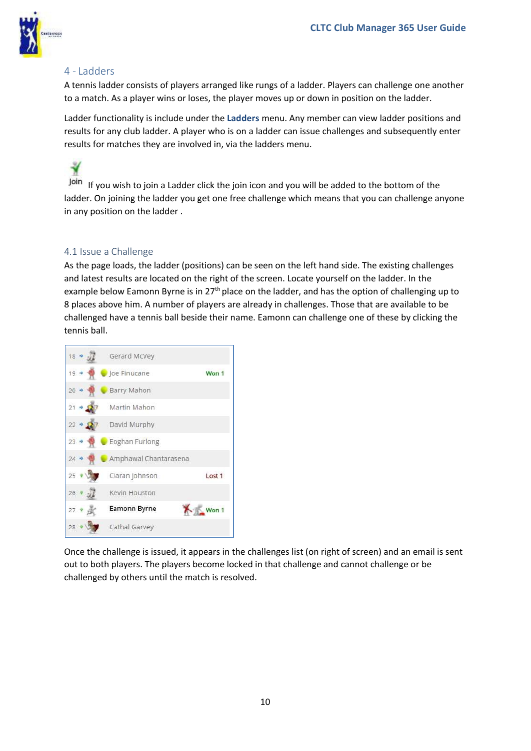

## 4 - Ladders

A tennis ladder consists of players arranged like rungs of a ladder. Players can challenge one another to a match. As a player wins or loses, the player moves up or down in position on the ladder.

Ladder functionality is include under the **Ladders** menu. Any member can view ladder positions and results for any club ladder. A player who is on a ladder can issue challenges and subsequently enter results for matches they are involved in, via the ladders menu.



Join If you wish to join a Ladder click the join icon and you will be added to the bottom of the ladder. On joining the ladder you get one free challenge which means that you can challenge anyone in any position on the ladder .

#### 4.1 Issue a Challenge

As the page loads, the ladder (positions) can be seen on the left hand side. The existing challenges and latest results are located on the right of the screen. Locate yourself on the ladder. In the example below Eamonn Byrne is in 27<sup>th</sup> place on the ladder, and has the option of challenging up to 8 places above him. A number of players are already in challenges. Those that are available to be challenged have a tennis ball beside their name. Eamonn can challenge one of these by clicking the tennis ball.



Once the challenge is issued, it appears in the challenges list (on right of screen) and an email is sent out to both players. The players become locked in that challenge and cannot challenge or be challenged by others until the match is resolved.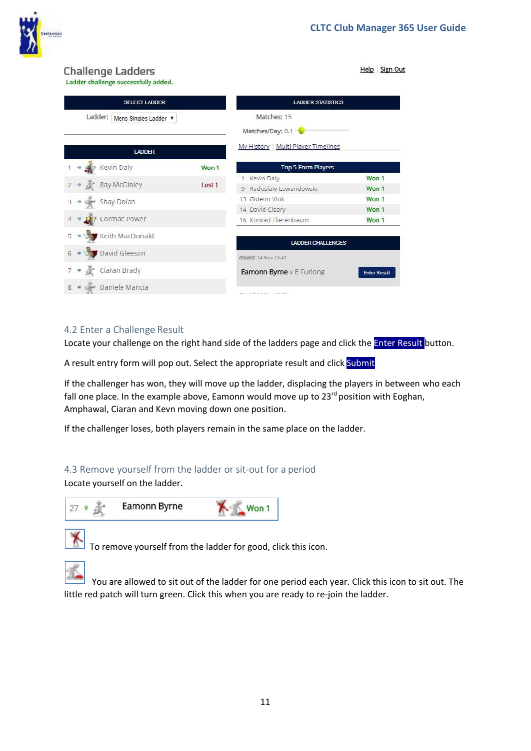

Help | Sign Out

# **Challenge Ladders**

Ladder challenge successfully added.

| cause, chancing baccessiony added;          |        |                                        |                     |  |  |  |
|---------------------------------------------|--------|----------------------------------------|---------------------|--|--|--|
| <b>SELECT LADDER</b>                        |        | <b>LADDER STATISTICS</b>               |                     |  |  |  |
| Ladder:<br>Mens Singles Ladder ▼            |        | Matches: 15                            |                     |  |  |  |
|                                             |        | Matches/Day: 0.1                       |                     |  |  |  |
| <b>LADDER</b>                               |        | My History   Multi-Player Timelines    |                     |  |  |  |
| Kevin Daly<br>ゆ                             | Won 1  | <b>Top 5 Form Players</b>              |                     |  |  |  |
|                                             |        | Kevin Daly                             | Won 1               |  |  |  |
| Ray McGinley                                | Lost 1 | Radoslaw Lewandowski<br>9              | Won 1               |  |  |  |
| Shay Dolan<br>3                             |        | 13 Gideon Vlok                         | Won 1               |  |  |  |
|                                             |        | 14 David Cleary                        | Won 1               |  |  |  |
| Cormac Power                                |        | 16 Konrad Flierenbaum                  | Won 1               |  |  |  |
| Keith MacDonald<br>5                        |        | <b>LADDER CHALLENGES</b>               |                     |  |  |  |
| David Gleeson<br>6                          |        | Issued: 14 Nov 15:41                   |                     |  |  |  |
| Ciaran Brady<br>$\rightarrow$ $\frac{1}{2}$ |        | Eamonn Byrne v E Furlong               | <b>Enter Result</b> |  |  |  |
| Daniele Mancia<br>8                         |        | Teachership and the state of the state |                     |  |  |  |

### 4.2 Enter a Challenge Result

Locate your challenge on the right hand side of the ladders page and click the **Enter Result** button.

A result entry form will pop out. Select the appropriate result and click Submit

If the challenger has won, they will move up the ladder, displacing the players in between who each fall one place. In the example above, Eamonn would move up to  $23<sup>rd</sup>$  position with Eoghan, Amphawal, Ciaran and Kevn moving down one position.

If the challenger loses, both players remain in the same place on the ladder.

# 4.3 Remove yourself from the ladder or sit-out for a period

Locate yourself on the ladder.





To remove yourself from the ladder for good, click this icon.

You are allowed to sit out of the ladder for one period each year. Click this icon to sit out. The little red patch will turn green. Click this when you are ready to re-join the ladder.